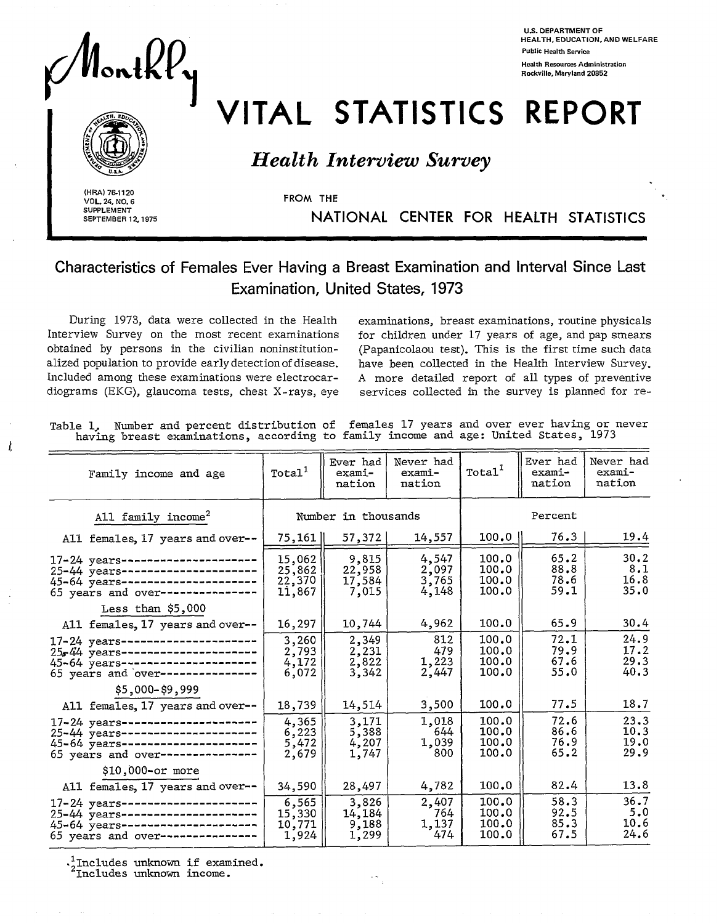

**U.S. DEPARTMENT OF HEALTH, EDUCATION, ANO WELFARE Public Health service Health Rsources Administration Rockville, Maryland 20852** 

# VITAL STATISTICS REPORT

## *Health Interview Survey*

**SUPPLEMENT** 

J.

I *.* **(HRA) 76-1120** . **VOL. 24, NO. 6** FROM THE **SEPTEMBER 12,1975** NATIONAL CENTER FOR HEALTH STATISTICS

**Characteristics of Females Ever Having a Breast Examination and Interval Since Last Examination, United States, 1973** 

During 1973, data were collected in the Health examinations, breast examinations, routine physicals Interview Survey on the most recent examinations obtained by persons in the civilian noninstitutionalized population to provide early detection of disease. Included among these examinations were electrocar- A more detailed report of all types of preventive diograms (EKG), glaucoma tests, chest X-rays, eye services collected in the survey is planned for re-

for children under 17 years of age, and pap smears (Papanicolaou test). This is the first time such data have been collected in the Health Interview Survey.

Table 1, Number and percent distribution of females 17 years and over ever having or never having breast examinations, according to family income and age: United States, 1973

| Family income and age                                                                                                                           | Total <sup>1</sup>                   | Ever had<br>exami-<br>nation       | Never had<br>exami-<br>nation    | Total <sup>1</sup>               | Ever had<br>exami-<br>nation | Never had<br>exami-<br>nation |
|-------------------------------------------------------------------------------------------------------------------------------------------------|--------------------------------------|------------------------------------|----------------------------------|----------------------------------|------------------------------|-------------------------------|
| All family income <sup>2</sup>                                                                                                                  |                                      | Number in thousands                |                                  | Percent                          |                              |                               |
| All females, 17 years and over--                                                                                                                | 75,161                               | 57,372                             | 14,557                           | 100.0                            | 76.3                         | 19.4                          |
| 17-24 years---------------------<br>25-44 years---------------------<br>45-64 years----------------------<br>65 years and over---------------   | 15,062<br>25,862<br>22,370<br>11,867 | 9,815<br>22,958<br>17,584<br>7,015 | 4,547<br>2,097<br>3,765<br>4,148 | 100.0<br>100.0<br>100.0<br>100.0 | 65.2<br>88.8<br>78.6<br>59.1 | 30.2<br>8.1<br>16.8<br>35.0   |
| Less than \$5,000                                                                                                                               |                                      |                                    |                                  |                                  |                              |                               |
| All females, 17 years and over--                                                                                                                | 16,297                               | 10,744                             | 4,962                            | 100.0                            | 65.9                         | 30.4                          |
| 17-24 years----------------------<br>25 44 years ----------------------<br>45-64 years---------------------<br>65 years and over--------------- | 3,260<br>2,793<br>4,172<br>6,072     | 2,349<br>2,231<br>2,822<br>3,342   | 812<br>479<br>1,223<br>2,447     | 100.0<br>100.0<br>100.0<br>100.0 | 72.1<br>79.9<br>67.6<br>55.0 | 24.9<br>17.2<br>29.3<br>40.3  |
| \$5,000-\$9,999                                                                                                                                 |                                      |                                    |                                  |                                  |                              |                               |
| All females, 17 years and over--                                                                                                                | 18,739                               | 14,514                             | 3,500                            | 100.0                            | 77.5                         | 18.7                          |
| 17-24 years----------------------<br>25-44 years---------------------<br>45-64 years---------------------<br>65 years and over---------------   | 4,365<br>6,223<br>5,472<br>2,679     | 3,171<br>5,388<br>4,207<br>1,747   | 1,018<br>644<br>1,039<br>800     | 100.0<br>100.0<br>100.0<br>100.0 | 72.6<br>86.6<br>76.9<br>65.2 | 23.3<br>10.3<br>19.0<br>29.9  |
| \$10,000-or more                                                                                                                                |                                      |                                    |                                  |                                  |                              |                               |
| All females, 17 years and over--                                                                                                                | 34,590                               | 28,497                             | 4,782                            | 100.0                            | 82.4                         | 13.8                          |
| 17-24 years----------------------<br>25-44 years---------------------<br>45-64 years---------------------<br>65 years and over----------------  | 6,565<br>15,330<br>10,771<br>1,924   | 3,826<br>14,184<br>9,188<br>1,299  | 2,407<br>764<br>1,137<br>474     | 100.0<br>100.0<br>100.0<br>100.0 | 58.3<br>92.5<br>85.3<br>67.5 | 36.7<br>5.0<br>10.6<br>24.6   |

 $^1$ Includes unknown if examined.

<sup>2</sup>Includes unknown income.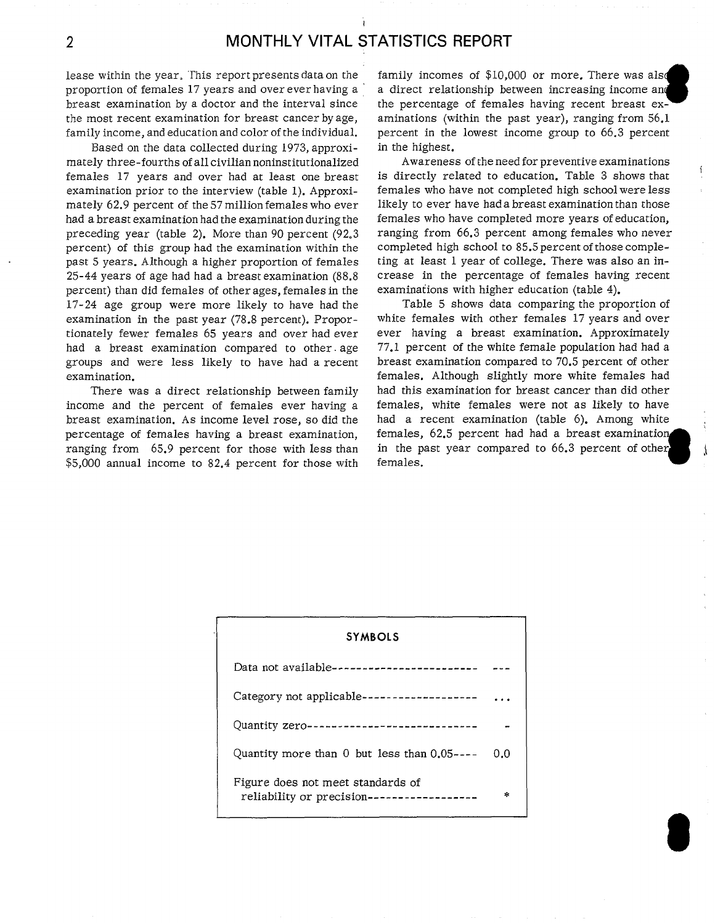lease within the year. This report presents data on the family incomes of \$10,000 or more. There was also proportion of females 17 years and over ever having a  $\overline{a}$  a direct relationship between increasing income and breast examination by a doctor and the interval since the percentage of females having recent breast exthe most recent examination for breast cancer by age, aminations (within the past year), ranging from 56.1 family income, and education and color of the individual. percent in the lowest income group to 66.3 percent

Based on the data collected during 1973, approxi- in the highest. mately three-fourths of aIl civilian noninstitutionalized Awareness of the need for preventive examinations examination prior to the interview (table 1). Approxi- females who have not compIeted high school were less mately 62.9 percent of the 57 million females who ever likely to ever have had a breast examination than those had a breast examination had the examination during the females who have completed more years of education, percent) of this group had the examination within the completed high school to 85.5 percent of those complepast 5 years. Although a higher proportion of females ting at least 1 year of college. There was also an in-25-44 years of age had had a breast examination (88.8 crease in the percentage of femaIes having recent percent) than did females of other ages, females in the examinations with higher education (table 4). 17-24 age group were more likely to have had the Table 5 shows data comparing the proportion of examination in the past year (78.8 percent). Propor- white females with other females 17 years and over tionately fewer females 65 years and over had ever ever having a breast examination. Approximately had a breast examination compared to other age 77.1 percent of the white female population had had a groups and were less likely to have had a recent breast examination compared to 70.5 percent of other examination. females. Although slightly more white females had

income and the percent of females ever having a females, white females were not as likely to have breast examination. As income level rose, so did the had a recent examination (table 6). Among white percentage of females having a breast examination, females, 62.5 percent had had a breast examination  $$5,000$  annual income to 82.4 percent for those with

inderly inter-fourths or an evidenmental contributance of the first of the heed for preventive enarmiations of<br>
females 17 years and over had at least one breast is directly related to education. Table 3 shows that preceding year (table 2). More than 90 percent (92.3 ranging from 66.3 percent among females who never

There was a direct relationship between family had this examination for breast cancer than did other ranging from 65.9 percent for those with less than in the past year compared to 66.3 percent of other  $\frac{1}{2}$ 

| <b>SYMBOLS</b>                                                                 |     |
|--------------------------------------------------------------------------------|-----|
| Data not available-------------------------                                    |     |
| Category not applicable-------------------                                     |     |
| Quantity zero----------------------------                                      |     |
| Quantity more than $0$ but less than $0.05$ ----                               | 0.0 |
| Figure does not meet standards of<br>reliability or precision----------------- |     |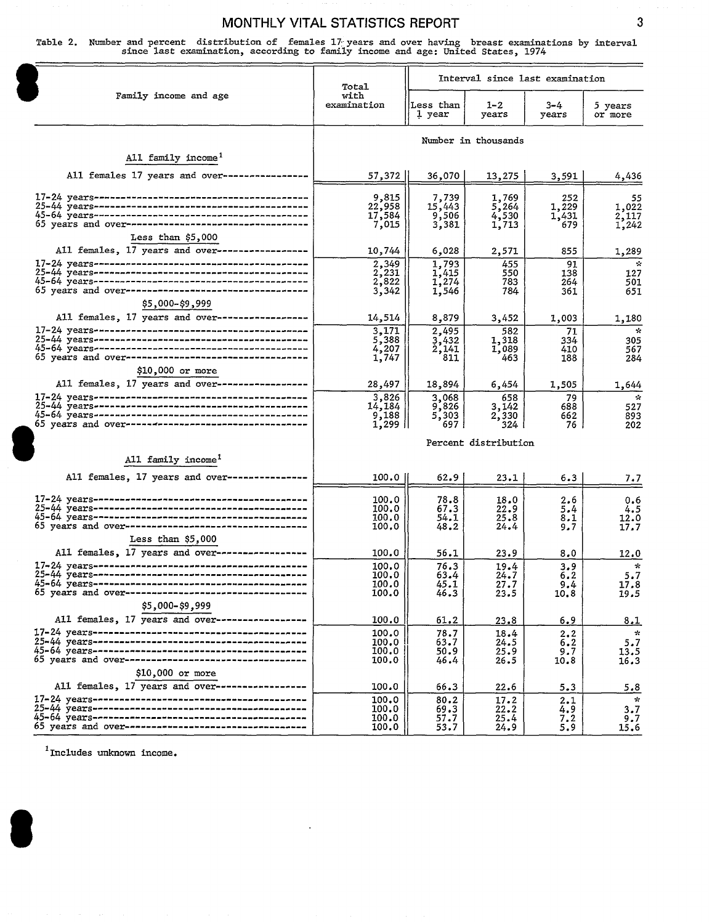Table 2. Number and percent distribution of females 17 years and over having breast examinations by interval<br>since last examination, according to family income and age: United States, 1974

|                                                                      | Total                 | Interval since last examination |                      |                  |                         |  |  |
|----------------------------------------------------------------------|-----------------------|---------------------------------|----------------------|------------------|-------------------------|--|--|
| Family income and age                                                | with<br>examination   | Less than<br>1 year             | $1 - 2$<br>years     | $3 - 4$<br>years | 5 years<br>or more      |  |  |
|                                                                      |                       |                                 | Number in thousands  |                  |                         |  |  |
| All family income <sup>1</sup>                                       |                       |                                 |                      |                  |                         |  |  |
|                                                                      |                       |                                 |                      |                  |                         |  |  |
| All females 17 years and over----------------                        | 57,372                | 36,070                          | 13,275               | 3,591            | 4,436                   |  |  |
|                                                                      | 9,815<br>22,958       | 7,739                           | 1,769                | 252              | 55                      |  |  |
|                                                                      |                       | 15,443                          | 5,264                | 1,229<br>1,431   | 1,022                   |  |  |
| 65 years and over-----------------------------------                 | 17,584<br>7,015       | 9,506<br>3,381                  | 4,530<br>1,713       | 679              | $2,117$<br>1,242        |  |  |
| Less than $$5,000$                                                   |                       |                                 |                      |                  |                         |  |  |
| All females, 17 years and over-----------------                      | 10,744                | 6,028                           | 2,571                | 855              | 1,289                   |  |  |
|                                                                      | $\frac{2,349}{2,231}$ | 1,793                           | 455                  | 91               | $\mathbf{r}_\mathrm{c}$ |  |  |
|                                                                      | 2,822                 | 1,415<br>1,274                  | 550<br>783           | 138<br>264       | 127<br>501              |  |  |
|                                                                      | 3,342                 | 1,546                           | 784                  | 361              | 651                     |  |  |
| \$5,000-\$9,999                                                      |                       |                                 |                      |                  |                         |  |  |
| All females, 17 years and over------------------                     | 14,514                | 8,879                           | 3,452                | 1,003            | 1,180                   |  |  |
|                                                                      | 3,171                 | 2,495                           | 582                  | 71               | $\mathbf{x}$            |  |  |
|                                                                      | 5,388<br>4,207        | 3,432<br>2,141                  | 1,318<br>1,089       | 334<br>410       | 305<br>567              |  |  |
|                                                                      | 1,747                 | 811                             | 463                  | 188              | 284                     |  |  |
| \$10,000 or more                                                     |                       |                                 |                      |                  |                         |  |  |
| All females, 17 years and over------------------                     | 28,497                | 18,894                          | 6,454                | 1,505            | 1,644                   |  |  |
|                                                                      | 3,826<br>14,184       | 3,068<br>9,826                  | 658                  | 79               | $\mathcal{L}$           |  |  |
|                                                                      | 9,188                 | 5,303                           | 3,142<br>2,330       | 688<br>662       | 527<br>893              |  |  |
| 65 years and over-----------------------------------                 | $1,299$               | 697                             | 324                  | 76.              | 202                     |  |  |
|                                                                      |                       |                                 | Percent distribution |                  |                         |  |  |
| All family income <sup>1</sup>                                       |                       |                                 |                      |                  |                         |  |  |
| All females, 17 years and over----------------                       | 100.0                 | 62.9                            | 23.1                 | 6.3              | 7.7                     |  |  |
|                                                                      |                       |                                 |                      |                  |                         |  |  |
|                                                                      | 100.0<br>100.0        | 78.8<br>67.3                    | 18.0<br>22.9         | 2.6<br>5.4       | 0.6<br>4.5              |  |  |
|                                                                      | 100.0                 | 54.1                            | 25.8                 | 8,1              | 12.0                    |  |  |
| 65 years and over-----------------------------------                 | 100.0                 | 48.2                            | 24.4                 | 9.7              | 17.7                    |  |  |
| Less than \$5,000<br>All females, 17 years and over----------------- |                       |                                 |                      |                  |                         |  |  |
|                                                                      | 100.0                 | 56.1                            | 23.9                 | 8.0              | 12.0                    |  |  |
|                                                                      | 100.0<br>100.0        | 76.3<br>63.4                    | 19.4<br>24.7         | 3.9<br>6.2       | 5.7                     |  |  |
|                                                                      | 100.0                 | 45.1                            | 27.7                 | 9.4              | 17.8                    |  |  |
| 65 years and over----------------------------------                  | 100.0                 | 46.3                            | 23.5                 | 10.8             | 19.5                    |  |  |
| \$5,000-\$9,999<br>All females, 17 years and over-----------------   |                       |                                 |                      |                  |                         |  |  |
|                                                                      | 100.0<br>100.0        | 61.2<br>78.7                    | 23.8                 | 6.9              | 8.I<br>$\frac{1}{2}$    |  |  |
|                                                                      | 100.0                 | 63.7                            | 18.4<br>24.5         | 2,2<br>6.2       | 5.7                     |  |  |
|                                                                      | 100.0                 | 50.9                            | 25.9                 | 9.7              | 13.5                    |  |  |
|                                                                      | 100.0                 | 46.4                            | 26.5                 | 10.8             | 16.3                    |  |  |
| \$10,000 or more<br>All females, 17 years and over------------------ |                       |                                 |                      |                  |                         |  |  |
|                                                                      | 100.0                 | 66.3                            | 22.6                 | 5.3              | 5.8                     |  |  |
|                                                                      | 100.0<br>100.0        | 80.2<br>69.3                    | 17.2<br>22.2         | 2.1<br>4.9       | $\mathbf{x}$<br>3.7     |  |  |
|                                                                      | 100.0                 | 57.7                            | 25.4                 | 7.2              | 9.7                     |  |  |
|                                                                      | 100.0                 | 53.7                            | 24.9                 | 5.9              | 15.6                    |  |  |

 $1$ Includes unknown income.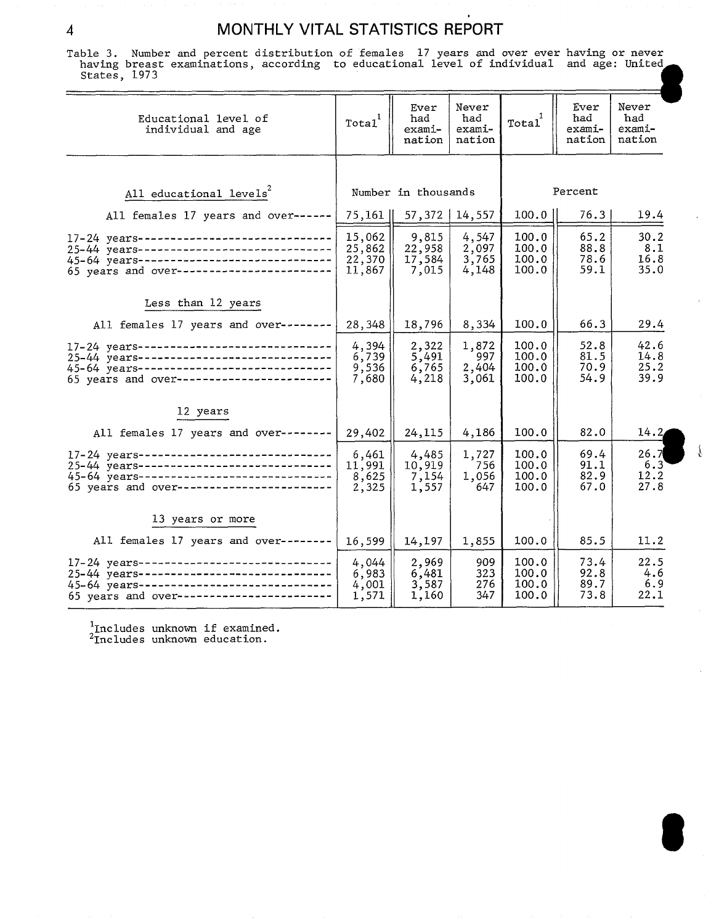$\ddot{\phantom{0}}$ 

Table 3. Number and percent distribution of females 17 years and over ever having or never having breast examinations, according to educational level of individual and age: United States, 1973

| naving preast examinations, according to educational level of individual and age: onliced<br>States, 1973                                                                         |                                      |                                    |                                  |                                  |                                 |                                  |
|-----------------------------------------------------------------------------------------------------------------------------------------------------------------------------------|--------------------------------------|------------------------------------|----------------------------------|----------------------------------|---------------------------------|----------------------------------|
| Educational level of<br>individual and age                                                                                                                                        | Total                                | Ever<br>had<br>exami-<br>nation    | Never<br>had<br>exami-<br>nation | Total                            | Ever<br>had<br>exami-<br>nation | Never<br>had<br>exami-<br>nation |
|                                                                                                                                                                                   |                                      |                                    |                                  |                                  |                                 |                                  |
| All educational levels <sup>2</sup>                                                                                                                                               |                                      | Number in thousands                |                                  |                                  | Percent                         |                                  |
| All females 17 years and over------                                                                                                                                               | 75,161                               | 57,372                             | 14,557                           | 100.0                            | 76.3                            | 19.4                             |
| 17-24 years------------------------------<br>25-44 years------------------------------<br>45-64 years-------------------------------<br>65 years and over------------------------ | 15,062<br>25,862<br>22,370<br>11,867 | 9,815<br>22,958<br>17,584<br>7,015 | 4,547<br>2,097<br>3,765<br>4,148 | 100.0<br>100.0<br>100.0<br>100.0 | 65.2<br>88.8<br>78.6<br>59.1    | 30.2<br>8.1<br>16.8<br>35.0      |
| Less than 12 years                                                                                                                                                                |                                      |                                    |                                  |                                  |                                 |                                  |
| All females 17 years and over--------                                                                                                                                             | 28,348                               | 18,796                             | 8,334                            | 100.0                            | 66.3                            | 29.4                             |
| 17-24 years-------------------------------<br>25-44 years-----------------------------<br>45-64 years-------------------------------<br>65 years and over------------------------ | 4,394<br>6,739<br>9,536<br>7,680     | 2,322<br>5,491<br>6,765<br>4,218   | 1,872<br>997<br>2,404<br>3,061   | 100.0<br>100.0<br>100.0<br>100.0 | 52.8<br>81.5<br>70.9<br>54.9    | 42.6<br>14.8<br>25.2<br>39.9     |
| 12 years                                                                                                                                                                          |                                      |                                    |                                  |                                  |                                 |                                  |
| All females 17 years and over--------                                                                                                                                             | 29,402                               | 24,115                             | 4,186                            | 100.0                            | 82.0                            | 14.2                             |
| 17-24 years-----------------------------<br>25-44 years------------------------------<br>45-64 years----------------------------<br>65 years and over -----------------------     | 6,461<br>11,991<br>8,625<br>2,325    | 4,485<br>10,919<br>7,154<br>1,557  | 1,727<br>756<br>1,056<br>647     | 100.0<br>100.0<br>100.0<br>100.0 | 69.4<br>91.1<br>82.9<br>67.0    | 26.7<br>6.3<br>12.2<br>27.8      |
| 13 years or more                                                                                                                                                                  |                                      |                                    |                                  |                                  |                                 |                                  |
| All females 17 years and over--------                                                                                                                                             | 16,599                               | 14,197                             | 1,855                            | 100.0                            | 85.5                            | 11.2                             |
| 17-24 years------------------------------<br>25-44 years------------------------------<br>45-64 years------------------------------<br>65 years and over-----------------------   | 4,044<br>6,983<br>4,001<br>1,571     | 2,969<br>6,481<br>3,587<br>1,160   | 909<br>323<br>276<br>347         | 100.0<br>100.0<br>100.0<br>100.0 | 73.4<br>92.8<br>89.7<br>73.8    | 22.5<br>4.6<br>6.9<br>22.1       |

 $\hat{r}$ 

'Includes unknown if examined.<br><sup>2</sup>Includes unknown education.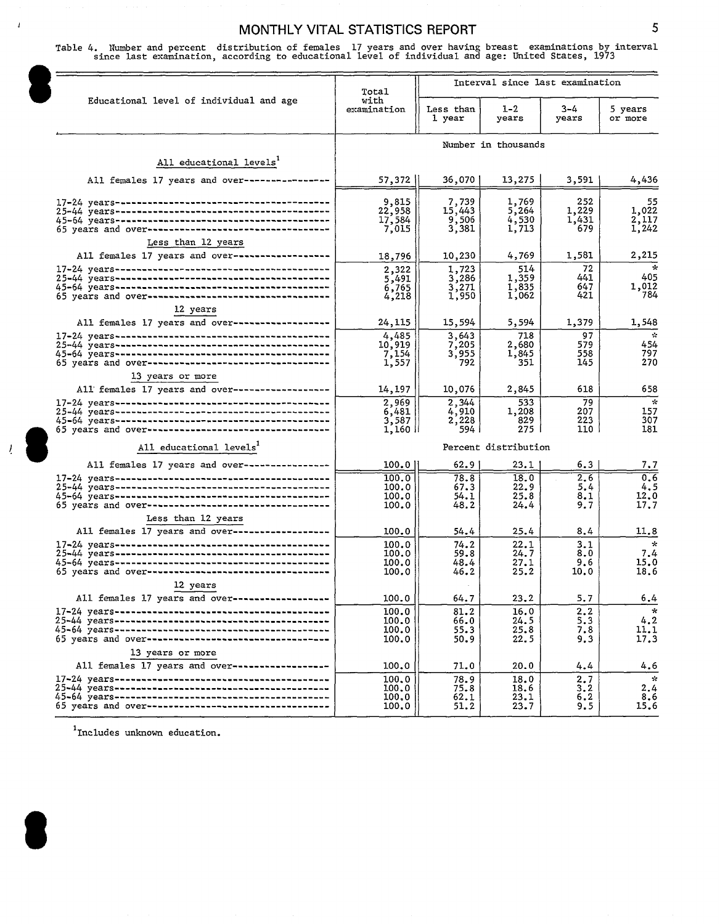## MONTHLY VITAL STATISTICS REPORT **SECULIARY SECULI**ST AND MONTHLY Table 4. Number and percent distribution of females 17 years and over having breast examinations by interval since last examination, according to educational level of individual and age: United States, 1973

Interval since last examination Total Educational level of individual and age with examination Less than 1-2 3-4 5 years 1 year | years | years | or<sup>-</sup>more I 1 1 Number in thousands All educational levels<sup>1</sup>  $\begin{array}{|c|c|c|c|c|c|}\n\hline\n & 57,372 & 36,070 & 13,275 & 3,591 & 4,436 \\
\hline\n & 3,591 & 4,436 & 576 & 576 & 576 \\
\hline\n\end{array}$ All females 17 years and over---------------I 9,815 1,769 ---------------------------------------- 17-24 years 7,739 1,769 1,252 1,022<br>17,584 15,443 5,264 1,229 1,022<br>17,584 9,506 4,530 1,431 2,117<br>7,015 3,381 1,713 679 1,242 252 1,229 1,03 22,958<br>17,584  $\frac{5}{5}$ , 264<br>4, 530<br>1, 713 ---------------------------------------- 25-44 years 45-64 years ---------------------------------------- ---------------------------------- 65 years and over  $\begin{array}{c|c|c|c|c|c} \hline &18,796& &10,230& &4,769& &1,581\\ \hline &2,322& &1,723& &514& &72\\ \hline &5,491& &3,286& &1,359& &441\\ \hline &6,765& &3,271& &1,835& &647\\ \hline &4,218& &1,950& &1,062& &421\\ \hline &24,115& &15,594& &5,594& &1,379\\ \hline & & & & & & & & & & & & & & & & & & & & &$ <u>Less than 12 years</u> 1,581 2,215 All females 17 years and over------------------ $\overline{\mathbf{r}}$ ---------------------------------------- 17-24 years  $\begin{array}{c|c} 441 & 405 \\ 647 & 1,012 \end{array}$ ---------------------------------------- 25-44 years ---------------------------------------- 45-64 years 647 1,012 421 784 65 years and over--------------------------------12 years 24,115 15,594 5,594 1,379<br>
4,485 3,643 718 97<br>
10,919 7,205 2,680 579<br>
7,154 3,955 1,845 558<br>
1,557 792 351 145<br>
14,197 10,076 2,845 618 All females 17 years and over------------------1,379 1,548  $\mathbf{Q}$ ---------------------------------------- 17-24 years ---------------------------------------- 25-44 years 454 579 45-64 years 558 797<br>270 ---------------------------------------- ---------------------------------- 65 years and over 13 years or more 618 658 All females 17 years and over----------------- $\overline{\phantom{a}}$ --------------------- ------------ 17-24 years ------. 1,208  $\begin{array}{c|c} 207 & 157 \\ 223 & 307 \end{array}$ ---------------------------------------- 25-44 years 45-64 years ---------------------------------=-----829  $\begin{array}{c|c} 223 & 307 \\ 110 & 181 \end{array}$  $275$ 65 years and over-------------------------------1,160 ll 110 181 Percent distribution<br>
100.0 62.9 23.1 6.3 7.7<br>
100.0 78.8 18.0 2.6 0.6<br>
100.0 67.3 22.9 5.4 4.5<br>
100.0 54.1 25.8 8.1 12.0<br>
100.0 54.4 25.4 8.4 11.7<br>
100.0 54.4 25.4 8.4 11.8<br>
100.0 54.4 25.4 8.4 11.8<br>
100.0 74.2 22.1 3.1 All educational levels<sup>1</sup> Percent distribution  $100.0$  || 62.9 | 23.1 | 6.3 | 7.7 All females 17 years and over---------------- $\begin{array}{|c|c|c|c|c|}\n\hline\n100.0 & 78.8 & 18.0 & 2.6 \\
\hline\n100.0 & 67.3 & 22.9 & 5.4\n\end{array}$ ---------------------------------------- I-7-24years ---------------------------------------- 25-44 years  $100.0$   $\vert$  67.3  $\vert$  22.9  $\vert$  5.4  $\vert$  4.5 45-64 years ---------------------------------------- ---------------------------------- 65 years and over 100.0 || 54.1 | 25.8 | 8.1 | 12.0  $\begin{array}{|c|c|} \hline 100.0 & & & 54.1 & & \ 100.0 & & & 48.2 & & \ 100.0 & & & & 54.4 & & \ 100.0 & & & 74.2 & & \ 100.0 & & 59.8 & & \ 100.0 & & 48.4 & & \ 100.0 & & & 46.2 & & \ 100.0 & & & 64.7 & & \ 100.0 & & & 64.7 & & \ \end{array}$ Less than 12 yeara All females 17 years and over----------------- $100.0$   $| 54.4 | 25.4 | 8.4 | 11.8$  $100.0$   $74.2$   $22.1$   $3.1$   $*$ ---------------------------------------- 17-24 years 100.0 59.8 24.7 8.0 7.4 ---------------------------------------- 25-44 years 100.0 || 48.4 | 27.1 | 9.6 | 15.0  $\begin{array}{c|cc} 48.4 & 27.1 & 9.6 & 15.0 \\ 46.2 & 25.2 & 10.0 & 18.6 \end{array}$ ---------------------------------------- 45-64 years 65 years and over---------------------------------

100.0 100.0 100.0 100.0 100.0

 $81.2$ 66.0<br>55.3 64.7<br>81.2<br>66.0<br>55.3<br>50.9<br>71.0

 $16.0$ 24.5 25.8 22.5

100.0 || 71.0 || 20.0 || 4.4 || 4.6

100.0 75.8 18.6 3.2 2.4

 $100.0$   $\begin{array}{|c|c|c|c|}\n\hline\n&51.2 & 23.7 & 9.5 & 15.6\n\end{array}$ 

 $\begin{array}{|c|c|c|c|c|} \hline 100.0 & 78.9 & 18.0 & 2.7 \\ \hline 100.0 & 75.8 & 18.6 & 3.2 \\ \hline 100.0 & 62.1 & 23.1 & 6.2 \\ \hline \end{array}$ 

 $\begin{array}{|c|c|c|c|c|} \hline 100.0 & & & & & & & 18.6 & & & 3.2\ \hline 100.0 & & & & & & 62.1 & & & 23.1 & & & 6.2\ \hline 100.0 & & & & & 51.2 & & & 23.7 & & & 9.5 \ \hline \end{array}$ 

2.2 5.3 7.8 9.3

64.7 23.2 5.7 6.4

 $4.2$ 11.1 17.3

 $\overline{\ast}$ 

 $\hat{\mathbf{x}}$ 

All females 17 years and over--------------------------------------------------------- 12 years 17-24 years 25-44 years -.------- .---. --.--- =------------------ 45-64 years .........---------

65 years and over--------------------------------

13 years or more

All females 17 years and over---------------------------------------------------------- 17-24 years

--------- --------- ----

---------------------------------------- 25-44 years ---------------------------------------- 45-64 years 65 years and over--------------------------------

**<sup>1</sup>**Includes unknown education.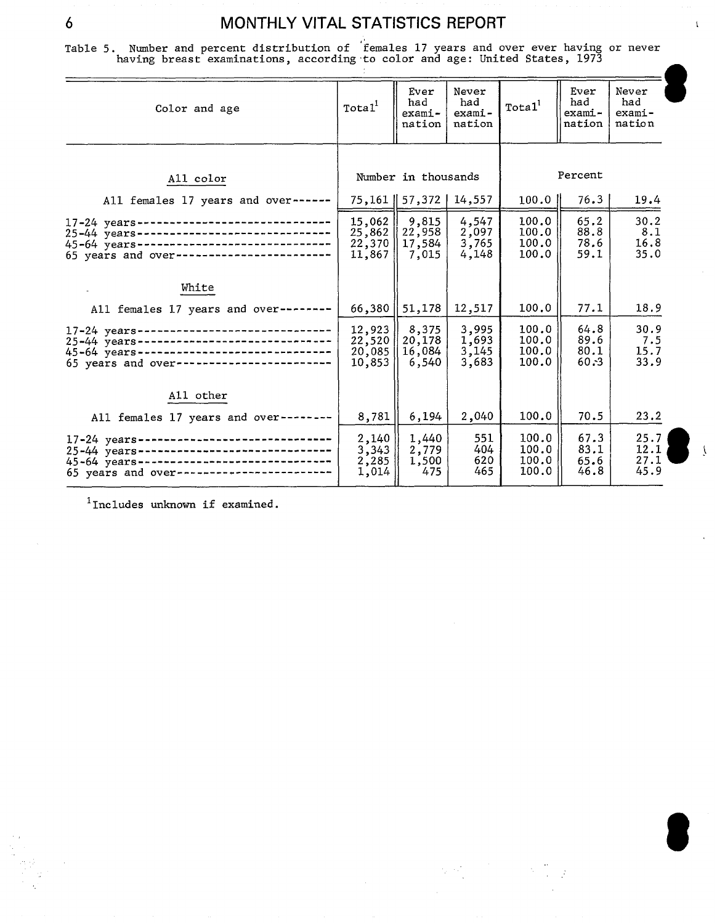$\mathbf{t}$ 

Table 5. Number and percent distribution of females 17 years and over ever having or never<br>having breast examinations, according to color and age: United States, 1973

| Color and age                                                                                                                                                                    | Total <sup>1</sup>                   | Ever<br>had<br>exami-<br>nation    | Never<br>had<br>$exami-$<br>nation | Total <sup>1</sup>               | Ever<br>had<br>exami-<br>nation | Never<br>had<br>exami-<br>nation |
|----------------------------------------------------------------------------------------------------------------------------------------------------------------------------------|--------------------------------------|------------------------------------|------------------------------------|----------------------------------|---------------------------------|----------------------------------|
|                                                                                                                                                                                  |                                      | Number in thousands                |                                    |                                  | Percent                         |                                  |
| All color<br>All females 17 years and over------                                                                                                                                 |                                      | 75, 161   57, 372                  | 14,557                             | $100.0$ $\parallel$              | 76.3                            | 19.4                             |
| $17 - 24$ years-------------------------------                                                                                                                                   | 15,062<br>25,862<br>22,370<br>11,867 | 9,815<br>22,958<br>17,584<br>7,015 | 4,547<br>2,097<br>3,765<br>4,148   | 100.0<br>100.0<br>100.0<br>100.0 | 65.2<br>88.8<br>78.6<br>59.1    | 30.2<br>8.1<br>16.8<br>35.0      |
| White                                                                                                                                                                            |                                      |                                    |                                    |                                  |                                 |                                  |
| All females 17 years and over--------                                                                                                                                            | 66,380                               | 51,178                             | 12,517                             | 100.0                            | 77.1                            | 18.9                             |
| 17-24 years------------------------------<br>25-44 years-----------------------------<br>45-64 years------------------------------<br>65 years and over------------------------  | 12,923<br>22,520<br>20,085<br>10,853 | 8,375<br>20,178<br>16,084<br>6,540 | 3,995<br>1,693<br>3,145<br>3,683   | 100.0<br>100.0<br>100.0<br>100.0 | 64.8<br>89.6<br>80.1<br>60.3    | 30.9<br>7.5<br>15.7<br>33.9      |
| All other                                                                                                                                                                        |                                      |                                    |                                    |                                  |                                 |                                  |
| All females 17 years and over--------                                                                                                                                            | 8,781                                | 6,194                              | 2,040                              | 100.0                            | 70.5                            | 23.2                             |
| 17-24 years------------------------------<br>25-44 years-----------------------------<br>45-64 years------------------------------<br>65 years and over------------------------- | 2,140<br>3,343<br>2,285<br>1,014     | 1,440<br>2,779<br>1,500<br>475     | 551<br>404<br>620<br>465           | 100.0<br>100.0<br>100.0<br>100.0 | 67.3<br>83.1<br>65.6<br>46.8    | 25.7<br>12.1<br>27.1<br>45.9     |

 $\label{eq:2.1} \frac{1}{N}\sum_{i=1}^N\frac{1}{N_i}\sum_{i=1}^N\frac{1}{N_i}\sum_{i=1}^N\frac{1}{N_i}\sum_{i=1}^N\frac{1}{N_i}\sum_{i=1}^N\frac{1}{N_i}\sum_{i=1}^N\frac{1}{N_i}\sum_{i=1}^N\frac{1}{N_i}\sum_{i=1}^N\frac{1}{N_i}\sum_{i=1}^N\frac{1}{N_i}\sum_{i=1}^N\frac{1}{N_i}\sum_{i=1}^N\frac{1}{N_i}\sum_{i=1}^N\frac{1}{N_i}\sum_{i=1}^N\frac{1$ 

 $\frac{1}{2}$  $\frac{1}{2}$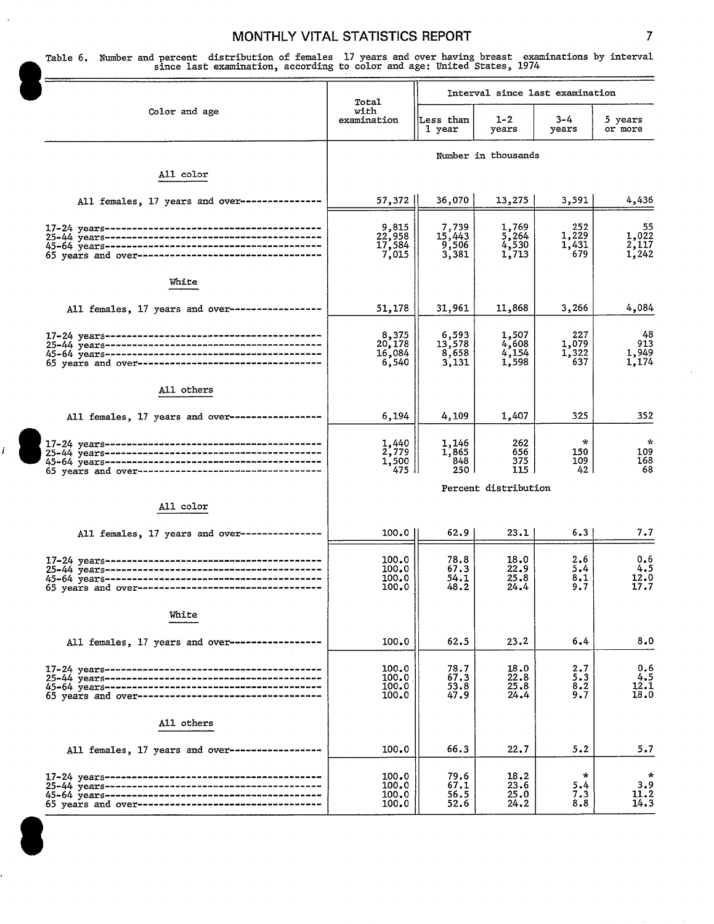Table 6. Number and percent distribution of females 17 years and over having breast examinations by interval<br>since last examination, according to color and age: United States, 1974

|                                                                                                  | Total                              | Interval since last examination   |                                                 |                              |                               |  |
|--------------------------------------------------------------------------------------------------|------------------------------------|-----------------------------------|-------------------------------------------------|------------------------------|-------------------------------|--|
| Color and age                                                                                    | wich<br>examination                | Less than<br>1 year               | $1 - 2$<br>years                                | 3-4<br>years                 | 5 years<br>or more            |  |
|                                                                                                  |                                    | Number in thousands               |                                                 |                              |                               |  |
| All color                                                                                        |                                    |                                   |                                                 |                              |                               |  |
| All females, 17 years and over-----                                                              | 57,372                             | 36,070                            | 13,275                                          | 3,591                        | 4,436                         |  |
| 45-64 years-----------------------------------<br>65 years and over----------------------------- | 9,815<br>22,958<br>17,584<br>7,015 | 7,739<br>15,443<br>9,506<br>3,381 | 1,769<br>$\overline{5}$ , 264<br>4,530<br>1,713 | 252<br>1,229<br>1,431<br>679 | 55<br>1,022<br>2,117<br>1,242 |  |
| White                                                                                            |                                    |                                   |                                                 |                              |                               |  |
| All females, 17 years and over------------------                                                 | 51,178                             | 31,961                            | 11,868                                          | 3,266                        | 4,084                         |  |
|                                                                                                  | 8,375<br>20,178<br>16,084<br>6,540 | 6,593<br>13,578<br>8,658<br>3,131 | 1,507<br>4,608<br>$4,154$<br>1,598              | 227<br>1,079<br>1,322<br>637 | 48<br>913<br>1,949<br>1,174   |  |
| All others                                                                                       |                                    |                                   |                                                 |                              |                               |  |
| All females, 17 years and over-----------------                                                  | 6,194                              | 4,109                             | 1,407                                           | 325                          | 352                           |  |
|                                                                                                  | 1,440<br>2,779<br>1,500<br>475     | 1,146<br>1,865<br>848<br>250      | 262<br>656<br>375<br>115                        | $\star$<br>150<br>109<br>42  | $\sim$<br>109<br>168<br>68    |  |
| All color                                                                                        |                                    | Percent distribution              |                                                 |                              |                               |  |
| All females, 17 years and over------------                                                       | 100.0                              | 62.9                              | 23.1                                            | 6.3                          | 7.7                           |  |
| 65 years and over-----------------------                                                         | 100.0<br>100.0<br>100.0<br>100.0   | 78.8<br>67.3<br>54.1<br>48.2      | 18.0<br>22.9<br>25.8<br>24.4                    | 2.6<br>5.4<br>8.1<br>9.7     | 0.6<br>4.5<br>12.0<br>17.7    |  |
| White                                                                                            |                                    |                                   |                                                 |                              |                               |  |
| All females, 17 years and over------------------                                                 | 100.0                              | 62.5                              | 23.2                                            | 6.4                          | 8.0                           |  |
| 65 years and over-----------------------------------                                             | 100.0<br>100.0<br>100.0<br>100.0   | 78.7<br>67.3<br>53.8<br>47.9      | 18.0<br>22.8<br>25.8<br>24.4                    | 2.7<br>5.3<br>8.2<br>9.7     | 0.6<br>4.5<br>12.1<br>18.0    |  |
| All others                                                                                       |                                    |                                   |                                                 |                              |                               |  |
| All females, 17 years and over-----------------                                                  | 100.0                              | 66.3                              | 22.7                                            | 5.2                          | 5.7                           |  |
| 65 years and over-----------------------------------                                             | 100.0<br>100.0<br>100.0<br>100.0   | 79.6<br>67.1<br>56.5<br>52.6      | 18.2<br>23.6<br>25.0<br>24.2                    | $\ast$<br>5.4<br>7.3<br>8.8  | *<br>3.9<br>11.2<br>14.3      |  |

9